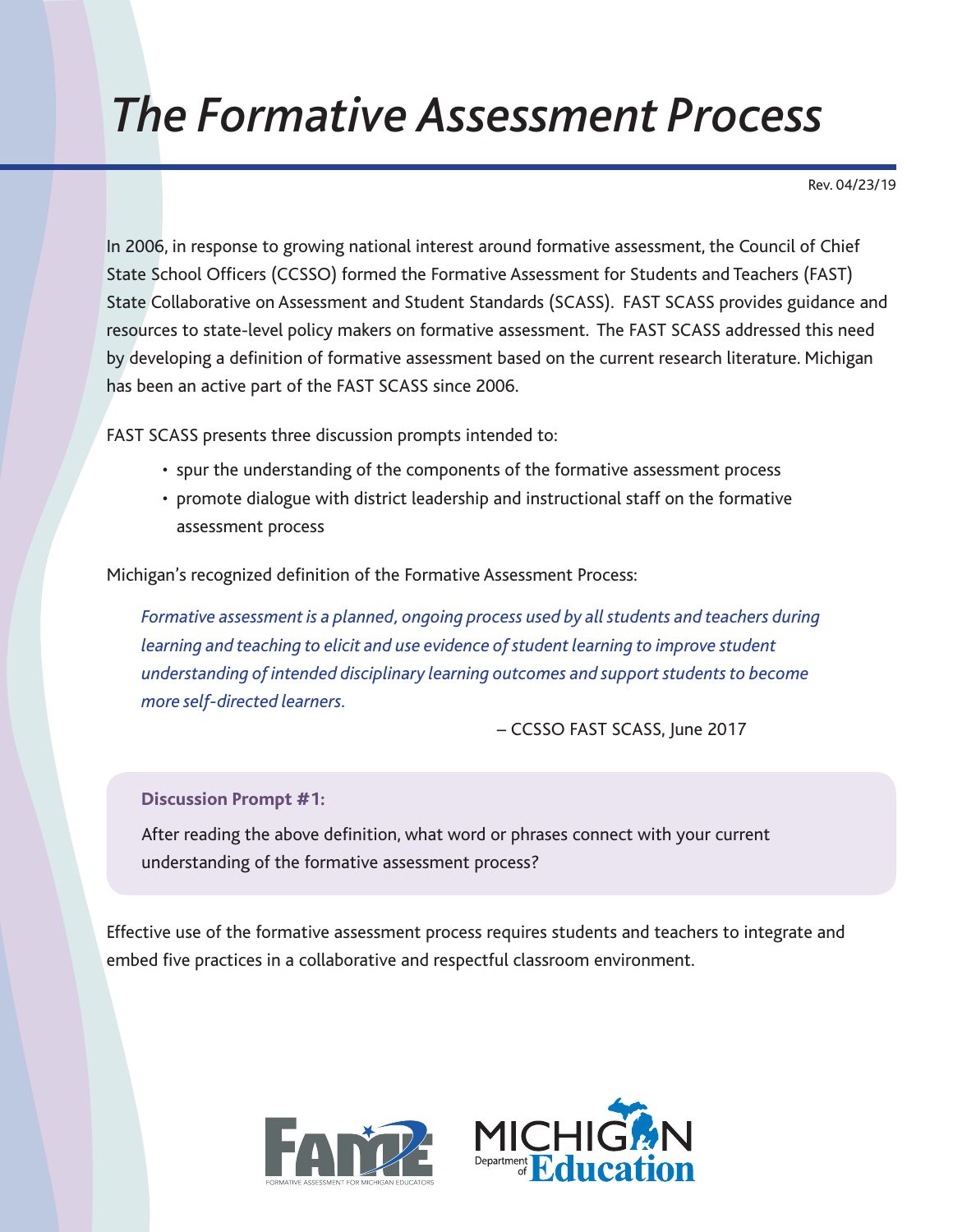## *The Formative Assessment Process*

Rev. 04/23/19

In 2006, in response to growing national interest around formative assessment, the Council of Chief State School Officers (CCSSO) formed the Formative Assessment for Students and Teachers (FAST) State Collaborative on Assessment and Student Standards (SCASS). FAST SCASS provides guidance and resources to state-level policy makers on formative assessment. The FAST SCASS addressed this need by developing a definition of formative assessment based on the current research literature. Michigan has been an active part of the FAST SCASS since 2006.

FAST SCASS presents three discussion prompts intended to:

- spur the understanding of the components of the formative assessment process
- promote dialogue with district leadership and instructional staff on the formative assessment process

Michigan's recognized definition of the Formative Assessment Process:

*Formative assessment is a planned, ongoing process used by all students and teachers during learning and teaching to elicit and use evidence of student learning to improve student understanding of intended disciplinary learning outcomes and support students to become more self-directed learners.*

– CCSSO FAST SCASS, June 2017

**Discussion Prompt #1:**

After reading the above definition, what word or phrases connect with your current understanding of the formative assessment process?

Effective use of the formative assessment process requires students and teachers to integrate and embed five practices in a collaborative and respectful classroom environment.